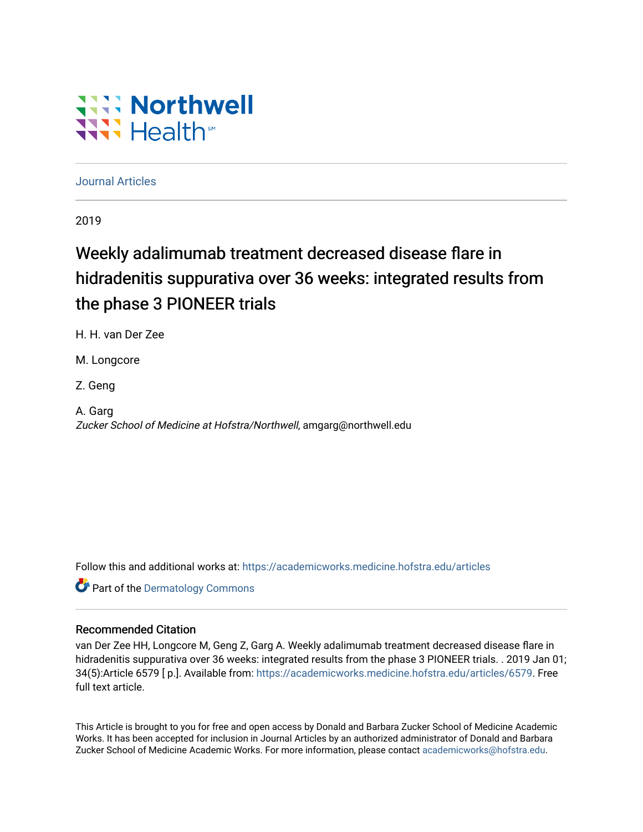# WANN FILE Wilhs

## [Journal Articles](https://academicworks.medicine.hofstra.edu/articles)

2019

## Weekly adalimumab treatment decreased disease flare in hidradenitis suppurativa over 36 weeks: integrated results from the phase 3 PIONEER trials

H. H. van Der Zee

M. Longcore

Z. Geng

A. Garg Zucker School of Medicine at Hofstra/Northwell, amgarg@northwell.edu

Follow this and additional works at: [https://academicworks.medicine.hofstra.edu/articles](https://academicworks.medicine.hofstra.edu/articles?utm_source=academicworks.medicine.hofstra.edu%2Farticles%2F6579&utm_medium=PDF&utm_campaign=PDFCoverPages)

**Part of the Dermatology Commons** 

## Recommended Citation

van Der Zee HH, Longcore M, Geng Z, Garg A. Weekly adalimumab treatment decreased disease flare in hidradenitis suppurativa over 36 weeks: integrated results from the phase 3 PIONEER trials. . 2019 Jan 01; 34(5):Article 6579 [ p.]. Available from: [https://academicworks.medicine.hofstra.edu/articles/6579](https://academicworks.medicine.hofstra.edu/articles/6579?utm_source=academicworks.medicine.hofstra.edu%2Farticles%2F6579&utm_medium=PDF&utm_campaign=PDFCoverPages). Free full text article.

This Article is brought to you for free and open access by Donald and Barbara Zucker School of Medicine Academic Works. It has been accepted for inclusion in Journal Articles by an authorized administrator of Donald and Barbara Zucker School of Medicine Academic Works. For more information, please contact [academicworks@hofstra.edu](mailto:academicworks@hofstra.edu).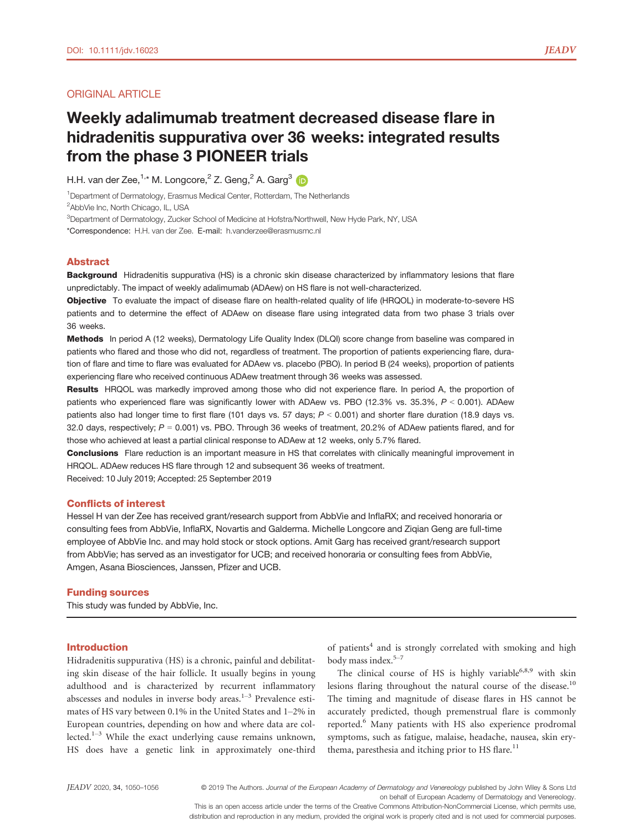### ORIGINAL ARTICLE

## Weekly adalimumab treatment decreased disease flare in hidradenitis suppurativa over 36 weeks: integrated results from the phase 3 PIONEER trials

H.H. van der Zee,<sup>1,\*</sup> M. Longcore,<sup>2</sup> Z. Geng,<sup>2</sup> A. Garg<sup>3</sup>

<sup>1</sup>Department of Dermatology, Erasmus Medical Center, Rotterdam, The Netherlands

<sup>2</sup>AbbVie Inc, North Chicago, IL, USA

 ${}^{3}$ Department of Dermatology, Zucker School of Medicine at Hofstra/Northwell, New Hyde Park, NY, USA

\*Correspondence: H.H. van der Zee. E-mail: [h.vanderzee@erasmusmc.nl](mailto:)

#### Abstract

Background Hidradenitis suppurativa (HS) is a chronic skin disease characterized by inflammatory lesions that flare unpredictably. The impact of weekly adalimumab (ADAew) on HS flare is not well-characterized.

Objective To evaluate the impact of disease flare on health-related quality of life (HRQOL) in moderate-to-severe HS patients and to determine the effect of ADAew on disease flare using integrated data from two phase 3 trials over 36 weeks.

Methods In period A (12 weeks), Dermatology Life Quality Index (DLQI) score change from baseline was compared in patients who flared and those who did not, regardless of treatment. The proportion of patients experiencing flare, duration of flare and time to flare was evaluated for ADAew vs. placebo (PBO). In period B (24 weeks), proportion of patients experiencing flare who received continuous ADAew treatment through 36 weeks was assessed.

Results HRQOL was markedly improved among those who did not experience flare. In period A, the proportion of patients who experienced flare was significantly lower with ADAew vs. PBO (12.3% vs. 35.3%,  $P < 0.001$ ). ADAew patients also had longer time to first flare (101 days vs. 57 days;  $P < 0.001$ ) and shorter flare duration (18.9 days vs. 32.0 days, respectively;  $P = 0.001$ ) vs. PBO. Through 36 weeks of treatment, 20.2% of ADAew patients flared, and for those who achieved at least a partial clinical response to ADAew at 12 weeks, only 5.7% flared.

Conclusions Flare reduction is an important measure in HS that correlates with clinically meaningful improvement in HRQOL. ADAew reduces HS flare through 12 and subsequent 36 weeks of treatment.

Received: 10 July 2019; Accepted: 25 September 2019

#### Conflicts of interest

Hessel H van der Zee has received grant/research support from AbbVie and InflaRX; and received honoraria or consulting fees from AbbVie, InflaRX, Novartis and Galderma. Michelle Longcore and Ziqian Geng are full-time employee of AbbVie Inc. and may hold stock or stock options. Amit Garg has received grant/research support from AbbVie; has served as an investigator for UCB; and received honoraria or consulting fees from AbbVie, Amgen, Asana Biosciences, Janssen, Pfizer and UCB.

#### Funding sources

This study was funded by AbbVie, Inc.

#### Introduction

Hidradenitis suppurativa (HS) is a chronic, painful and debilitating skin disease of the hair follicle. It usually begins in young adulthood and is characterized by recurrent inflammatory abscesses and nodules in inverse body areas.<sup>1-3</sup> Prevalence estimates of HS vary between 0.1% in the United States and 1–2% in European countries, depending on how and where data are collected.<sup>1-3</sup> While the exact underlying cause remains unknown, HS does have a genetic link in approximately one-third of patients<sup>4</sup> and is strongly correlated with smoking and high body mass index.<sup>5-7</sup>

The clinical course of HS is highly variable<sup>6,8,9</sup> with skin lesions flaring throughout the natural course of the disease.<sup>10</sup> The timing and magnitude of disease flares in HS cannot be accurately predicted, though premenstrual flare is commonly reported.<sup>6</sup> Many patients with HS also experience prodromal symptoms, such as fatigue, malaise, headache, nausea, skin erythema, paresthesia and itching prior to HS flare.<sup>11</sup>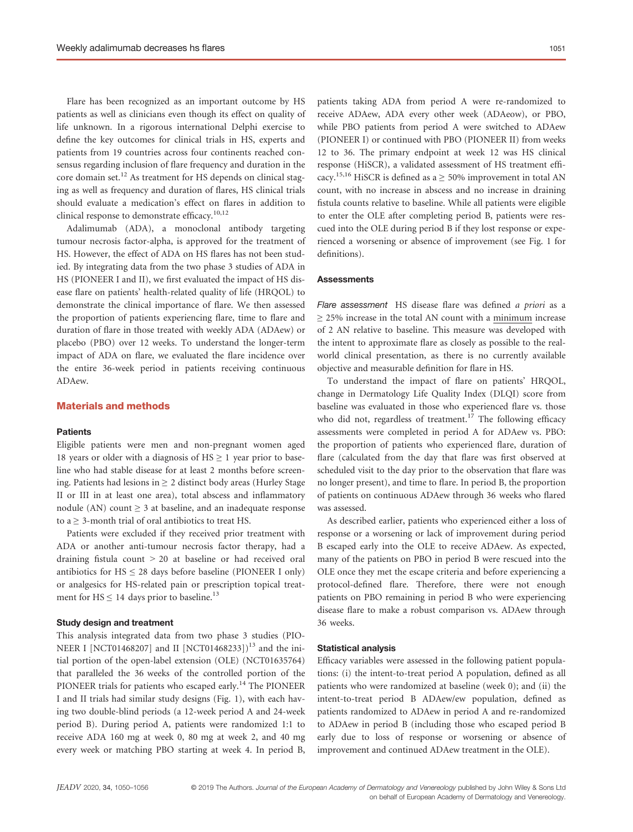Flare has been recognized as an important outcome by HS patients as well as clinicians even though its effect on quality of life unknown. In a rigorous international Delphi exercise to define the key outcomes for clinical trials in HS, experts and patients from 19 countries across four continents reached consensus regarding inclusion of flare frequency and duration in the core domain set.<sup>12</sup> As treatment for HS depends on clinical staging as well as frequency and duration of flares, HS clinical trials should evaluate a medication's effect on flares in addition to clinical response to demonstrate efficacy.<sup>10,12</sup>

Adalimumab (ADA), a monoclonal antibody targeting tumour necrosis factor-alpha, is approved for the treatment of HS. However, the effect of ADA on HS flares has not been studied. By integrating data from the two phase 3 studies of ADA in HS (PIONEER I and II), we first evaluated the impact of HS disease flare on patients' health-related quality of life (HRQOL) to demonstrate the clinical importance of flare. We then assessed the proportion of patients experiencing flare, time to flare and duration of flare in those treated with weekly ADA (ADAew) or placebo (PBO) over 12 weeks. To understand the longer-term impact of ADA on flare, we evaluated the flare incidence over the entire 36-week period in patients receiving continuous ADAew.

## Materials and methods

#### **Patients**

Eligible patients were men and non-pregnant women aged 18 years or older with a diagnosis of  $HS \ge 1$  year prior to baseline who had stable disease for at least 2 months before screening. Patients had lesions in  $\geq 2$  distinct body areas (Hurley Stage II or III in at least one area), total abscess and inflammatory nodule (AN) count  $\geq$  3 at baseline, and an inadequate response to a  $\geq$  3-month trial of oral antibiotics to treat HS.

Patients were excluded if they received prior treatment with ADA or another anti-tumour necrosis factor therapy, had a draining fistula count > 20 at baseline or had received oral antibiotics for  $HS \leq 28$  days before baseline (PIONEER I only) or analgesics for HS-related pain or prescription topical treatment for  $HS \le 14$  days prior to baseline.<sup>13</sup>

#### Study design and treatment

This analysis integrated data from two phase 3 studies (PIO-NEER I [NCT01468207] and II [NCT01468233])<sup>13</sup> and the initial portion of the open-label extension (OLE) (NCT01635764) that paralleled the 36 weeks of the controlled portion of the PIONEER trials for patients who escaped early.<sup>14</sup> The PIONEER I and II trials had similar study designs (Fig. 1), with each having two double-blind periods (a 12-week period A and 24-week period B). During period A, patients were randomized 1:1 to receive ADA 160 mg at week 0, 80 mg at week 2, and 40 mg every week or matching PBO starting at week 4. In period B,

patients taking ADA from period A were re-randomized to receive ADAew, ADA every other week (ADAeow), or PBO, while PBO patients from period A were switched to ADAew (PIONEER I) or continued with PBO (PIONEER II) from weeks 12 to 36. The primary endpoint at week 12 was HS clinical response (HiSCR), a validated assessment of HS treatment efficacy.<sup>15,16</sup> HiSCR is defined as  $a \ge 50\%$  improvement in total AN count, with no increase in abscess and no increase in draining fistula counts relative to baseline. While all patients were eligible to enter the OLE after completing period B, patients were rescued into the OLE during period B if they lost response or experienced a worsening or absence of improvement (see Fig. 1 for definitions).

#### **Assessments**

Flare assessment HS disease flare was defined a priori as a  $\geq$  25% increase in the total AN count with a minimum increase of 2 AN relative to baseline. This measure was developed with the intent to approximate flare as closely as possible to the realworld clinical presentation, as there is no currently available objective and measurable definition for flare in HS.

To understand the impact of flare on patients' HRQOL, change in Dermatology Life Quality Index (DLQI) score from baseline was evaluated in those who experienced flare vs. those who did not, regardless of treatment.<sup>17</sup> The following efficacy assessments were completed in period A for ADAew vs. PBO: the proportion of patients who experienced flare, duration of flare (calculated from the day that flare was first observed at scheduled visit to the day prior to the observation that flare was no longer present), and time to flare. In period B, the proportion of patients on continuous ADAew through 36 weeks who flared was assessed.

As described earlier, patients who experienced either a loss of response or a worsening or lack of improvement during period B escaped early into the OLE to receive ADAew. As expected, many of the patients on PBO in period B were rescued into the OLE once they met the escape criteria and before experiencing a protocol-defined flare. Therefore, there were not enough patients on PBO remaining in period B who were experiencing disease flare to make a robust comparison vs. ADAew through 36 weeks.

#### Statistical analysis

Efficacy variables were assessed in the following patient populations: (i) the intent-to-treat period A population, defined as all patients who were randomized at baseline (week 0); and (ii) the intent-to-treat period B ADAew/ew population, defined as patients randomized to ADAew in period A and re-randomized to ADAew in period B (including those who escaped period B early due to loss of response or worsening or absence of improvement and continued ADAew treatment in the OLE).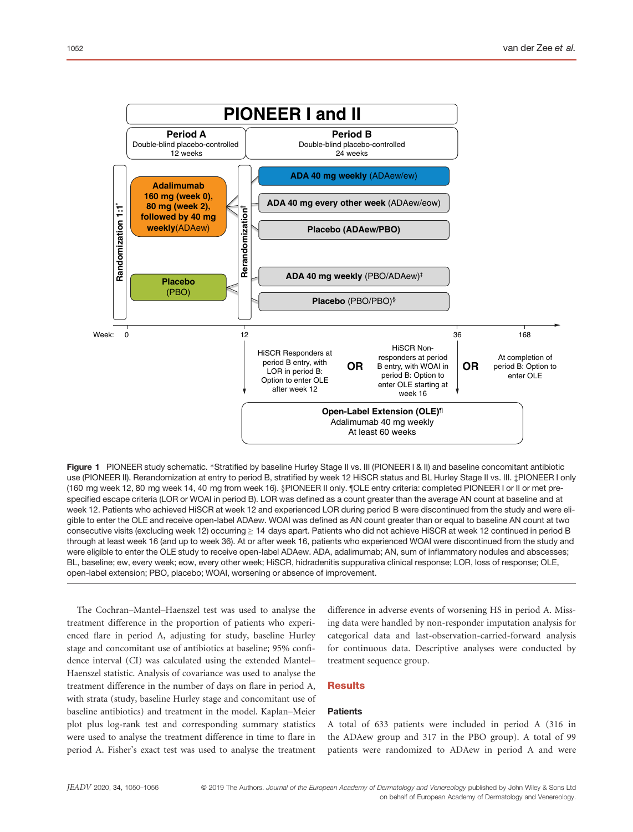

Figure 1 PIONEER study schematic. \*Stratified by baseline Hurley Stage II vs. III (PIONEER I & II) and baseline concomitant antibiotic use (PIONEER II). Rerandomization at entry to period B, stratified by week 12 HiSCR status and BL Hurley Stage II vs. III.  $\ddagger$ PIONEER I only (160 mg week 12, 80 mg week 14, 40 mg from week 16). §PIONEER II only. ¶OLE entry criteria: completed PIONEER I or II or met prespecified escape criteria (LOR or WOAI in period B). LOR was defined as a count greater than the average AN count at baseline and at week 12. Patients who achieved HiSCR at week 12 and experienced LOR during period B were discontinued from the study and were eligible to enter the OLE and receive open-label ADAew. WOAI was defined as AN count greater than or equal to baseline AN count at two consecutive visits (excluding week 12) occurring ≥ 14 days apart. Patients who did not achieve HiSCR at week 12 continued in period B through at least week 16 (and up to week 36). At or after week 16, patients who experienced WOAI were discontinued from the study and were eligible to enter the OLE study to receive open-label ADAew. ADA, adalimumab; AN, sum of inflammatory nodules and abscesses; BL, baseline; ew, every week; eow, every other week; HiSCR, hidradenitis suppurativa clinical response; LOR, loss of response; OLE, open-label extension; PBO, placebo; WOAI, worsening or absence of improvement.

The Cochran–Mantel–Haenszel test was used to analyse the treatment difference in the proportion of patients who experienced flare in period A, adjusting for study, baseline Hurley stage and concomitant use of antibiotics at baseline; 95% confidence interval (CI) was calculated using the extended Mantel– Haenszel statistic. Analysis of covariance was used to analyse the treatment difference in the number of days on flare in period A, with strata (study, baseline Hurley stage and concomitant use of baseline antibiotics) and treatment in the model. Kaplan–Meier plot plus log-rank test and corresponding summary statistics were used to analyse the treatment difference in time to flare in period A. Fisher's exact test was used to analyse the treatment difference in adverse events of worsening HS in period A. Missing data were handled by non-responder imputation analysis for categorical data and last-observation-carried-forward analysis for continuous data. Descriptive analyses were conducted by treatment sequence group.

### **Results**

#### **Patients**

A total of 633 patients were included in period A (316 in the ADAew group and 317 in the PBO group). A total of 99 patients were randomized to ADAew in period A and were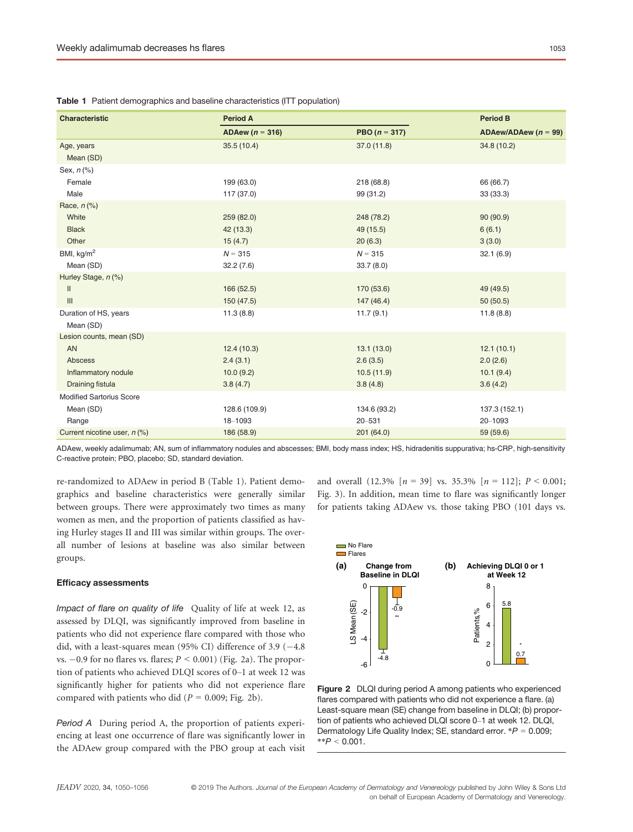| <b>Characteristic</b>              | <b>Period A</b>     |                 | <b>Period B</b>          |
|------------------------------------|---------------------|-----------------|--------------------------|
|                                    | ADAew ( $n = 316$ ) | PBO $(n = 317)$ | ADAew/ADAew ( $n = 99$ ) |
| Age, years                         | 35.5(10.4)          | 37.0(11.8)      | 34.8 (10.2)              |
| Mean (SD)                          |                     |                 |                          |
| Sex, $n$ $%$                       |                     |                 |                          |
| Female                             | 199 (63.0)          | 218 (68.8)      | 66 (66.7)                |
| Male                               | 117 (37.0)          | 99 (31.2)       | 33 (33.3)                |
| Race, $n$ (%)                      |                     |                 |                          |
| White                              | 259(82.0)           | 248 (78.2)      | 90(90.9)                 |
| <b>Black</b>                       | 42 (13.3)           | 49 (15.5)       | 6(6.1)                   |
| Other                              | 15(4.7)             | 20(6.3)         | 3(3.0)                   |
| BMI, $kg/m2$                       | $N = 315$           | $N = 315$       | 32.1(6.9)                |
| Mean (SD)                          | 32.2(7.6)           | 33.7(8.0)       |                          |
| Hurley Stage, n (%)                |                     |                 |                          |
| $\mathbf{II}$                      | 166(52.5)           | 170 (53.6)      | 49 (49.5)                |
| $\ensuremath{\mathsf{III}}\xspace$ | 150 (47.5)          | 147(46.4)       | 50(50.5)                 |
| Duration of HS, years              | 11.3(8.8)           | 11.7(9.1)       | 11.8(8.8)                |
| Mean (SD)                          |                     |                 |                          |
| Lesion counts, mean (SD)           |                     |                 |                          |
| AN                                 | 12.4(10.3)          | 13.1(13.0)      | 12.1(10.1)               |
| Abscess                            | 2.4(3.1)            | 2.6(3.5)        | 2.0(2.6)                 |
| Inflammatory nodule                | 10.0(9.2)           | 10.5(11.9)      | 10.1(9.4)                |
| Draining fistula                   | 3.8(4.7)            | 3.8(4.8)        | 3.6(4.2)                 |
| <b>Modified Sartorius Score</b>    |                     |                 |                          |
| Mean (SD)                          | 128.6 (109.9)       | 134.6 (93.2)    | 137.3 (152.1)            |
| Range                              | 18-1093             | $20 - 531$      | 20-1093                  |
| Current nicotine user, n (%)       | 186 (58.9)          | 201 (64.0)      | 59 (59.6)                |

Table 1 Patient demographics and baseline characteristics (ITT population)

ADAew, weekly adalimumab; AN, sum of inflammatory nodules and abscesses; BMI, body mass index; HS, hidradenitis suppurativa; hs-CRP, high-sensitivity C-reactive protein; PBO, placebo; SD, standard deviation.

re-randomized to ADAew in period B (Table 1). Patient demographics and baseline characteristics were generally similar between groups. There were approximately two times as many women as men, and the proportion of patients classified as having Hurley stages II and III was similar within groups. The overall number of lesions at baseline was also similar between groups.

#### Efficacy assessments

Impact of flare on quality of life Quality of life at week 12, as assessed by DLQI, was significantly improved from baseline in patients who did not experience flare compared with those who did, with a least-squares mean (95% CI) difference of 3.9  $(-4.8)$ vs.  $-0.9$  for no flares vs. flares;  $P < 0.001$ ) (Fig. 2a). The proportion of patients who achieved DLQI scores of 0–1 at week 12 was significantly higher for patients who did not experience flare compared with patients who did ( $P = 0.009$ ; Fig. 2b).

Period A During period A, the proportion of patients experiencing at least one occurrence of flare was significantly lower in the ADAew group compared with the PBO group at each visit



and overall  $(12.3\%$   $[n = 39]$  vs. 35.3%  $[n = 112]$ ;  $P < 0.001$ ; Fig. 3). In addition, mean time to flare was significantly longer for patients taking ADAew vs. those taking PBO (101 days vs.

Figure 2 DLQI during period A among patients who experienced flares compared with patients who did not experience a flare. (a) Least-square mean (SE) change from baseline in DLQI; (b) proportion of patients who achieved DLQI score 0–1 at week 12. DLQI, Dermatology Life Quality Index; SE, standard error.  $*P = 0.009$ ;  $*^{*}P < 0.001$ .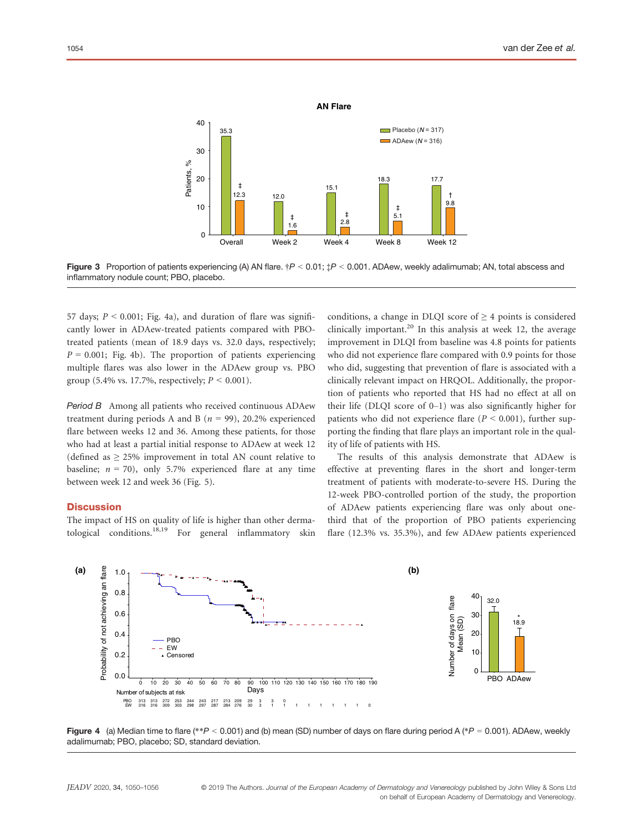

Figure 3 Proportion of patients experiencing (A) AN flare.  $\dot{\tau}P < 0.01$ ;  $\dot{\tau}P < 0.001$ . ADAew, weekly adalimumab; AN, total abscess and inflammatory nodule count; PBO, placebo.

57 days;  $P < 0.001$ ; Fig. 4a), and duration of flare was significantly lower in ADAew-treated patients compared with PBOtreated patients (mean of 18.9 days vs. 32.0 days, respectively;  $P = 0.001$ ; Fig. 4b). The proportion of patients experiencing multiple flares was also lower in the ADAew group vs. PBO group (5.4% vs. 17.7%, respectively;  $P < 0.001$ ).

Period B Among all patients who received continuous ADAew treatment during periods A and B ( $n = 99$ ), 20.2% experienced flare between weeks 12 and 36. Among these patients, for those who had at least a partial initial response to ADAew at week 12 (defined as  $\geq$  25% improvement in total AN count relative to baseline;  $n = 70$ ), only 5.7% experienced flare at any time between week 12 and week 36 (Fig. 5).

#### **Discussion**

The impact of HS on quality of life is higher than other dermatological conditions.<sup>18,19</sup> For general inflammatory skin conditions, a change in DLQI score of  $\geq$  4 points is considered clinically important.<sup>20</sup> In this analysis at week 12, the average improvement in DLQI from baseline was 4.8 points for patients who did not experience flare compared with 0.9 points for those who did, suggesting that prevention of flare is associated with a clinically relevant impact on HRQOL. Additionally, the proportion of patients who reported that HS had no effect at all on their life (DLQI score of  $0-1$ ) was also significantly higher for patients who did not experience flare ( $P \le 0.001$ ), further supporting the finding that flare plays an important role in the quality of life of patients with HS.

The results of this analysis demonstrate that ADAew is effective at preventing flares in the short and longer-term treatment of patients with moderate-to-severe HS. During the 12-week PBO-controlled portion of the study, the proportion of ADAew patients experiencing flare was only about onethird that of the proportion of PBO patients experiencing flare (12.3% vs. 35.3%), and few ADAew patients experienced



Figure 4 (a) Median time to flare (\*\*P < 0.001) and (b) mean (SD) number of days on flare during period A (\*P = 0.001). ADAew, weekly adalimumab; PBO, placebo; SD, standard deviation.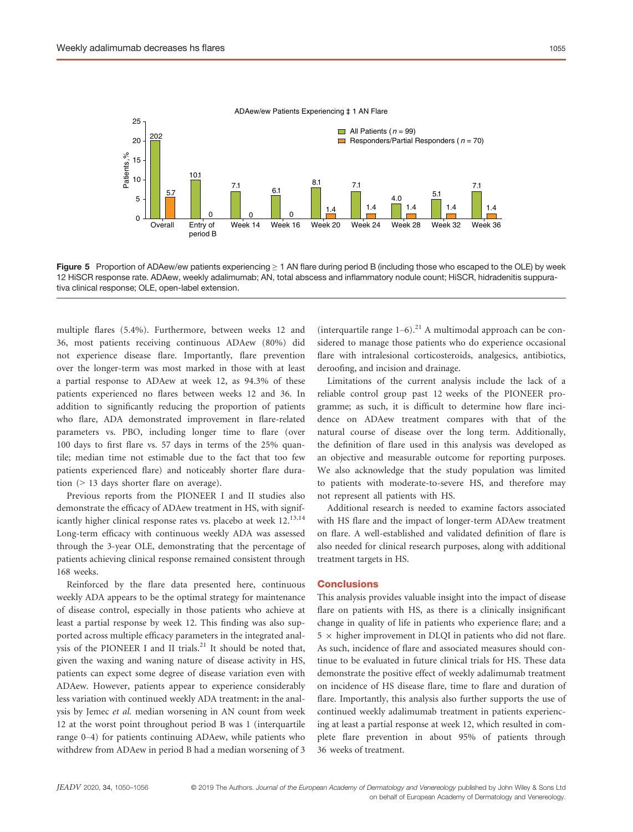

ADAew/ew Patients Experiencing ‡ 1 AN Flare

Figure 5 Proportion of ADAew/ew patients experiencing ≥ 1 AN flare during period B (including those who escaped to the OLE) by week 12 HiSCR response rate. ADAew, weekly adalimumab; AN, total abscess and inflammatory nodule count; HiSCR, hidradenitis suppurativa clinical response; OLE, open-label extension.

multiple flares (5.4%). Furthermore, between weeks 12 and 36, most patients receiving continuous ADAew (80%) did not experience disease flare. Importantly, flare prevention over the longer-term was most marked in those with at least a partial response to ADAew at week 12, as 94.3% of these patients experienced no flares between weeks 12 and 36. In addition to significantly reducing the proportion of patients who flare, ADA demonstrated improvement in flare-related parameters vs. PBO, including longer time to flare (over 100 days to first flare vs. 57 days in terms of the 25% quantile; median time not estimable due to the fact that too few patients experienced flare) and noticeably shorter flare duration (> 13 days shorter flare on average).

Previous reports from the PIONEER I and II studies also demonstrate the efficacy of ADAew treatment in HS, with significantly higher clinical response rates vs. placebo at week 12.<sup>13,14</sup> Long-term efficacy with continuous weekly ADA was assessed through the 3-year OLE, demonstrating that the percentage of patients achieving clinical response remained consistent through 168 weeks.

Reinforced by the flare data presented here, continuous weekly ADA appears to be the optimal strategy for maintenance of disease control, especially in those patients who achieve at least a partial response by week 12. This finding was also supported across multiple efficacy parameters in the integrated analysis of the PIONEER I and II trials.<sup>21</sup> It should be noted that, given the waxing and waning nature of disease activity in HS, patients can expect some degree of disease variation even with ADAew. However, patients appear to experience considerably less variation with continued weekly ADA treatment: in the analysis by Jemec et al. median worsening in AN count from week 12 at the worst point throughout period B was 1 (interquartile range 0–4) for patients continuing ADAew, while patients who withdrew from ADAew in period B had a median worsening of 3

(interquartile range  $1-6$ ).<sup>21</sup> A multimodal approach can be considered to manage those patients who do experience occasional flare with intralesional corticosteroids, analgesics, antibiotics, deroofing, and incision and drainage.

Limitations of the current analysis include the lack of a reliable control group past 12 weeks of the PIONEER programme; as such, it is difficult to determine how flare incidence on ADAew treatment compares with that of the natural course of disease over the long term. Additionally, the definition of flare used in this analysis was developed as an objective and measurable outcome for reporting purposes. We also acknowledge that the study population was limited to patients with moderate-to-severe HS, and therefore may not represent all patients with HS.

Additional research is needed to examine factors associated with HS flare and the impact of longer-term ADAew treatment on flare. A well-established and validated definition of flare is also needed for clinical research purposes, along with additional treatment targets in HS.

#### **Conclusions**

This analysis provides valuable insight into the impact of disease flare on patients with HS, as there is a clinically insignificant change in quality of life in patients who experience flare; and a  $5 \times$  higher improvement in DLQI in patients who did not flare. As such, incidence of flare and associated measures should continue to be evaluated in future clinical trials for HS. These data demonstrate the positive effect of weekly adalimumab treatment on incidence of HS disease flare, time to flare and duration of flare. Importantly, this analysis also further supports the use of continued weekly adalimumab treatment in patients experiencing at least a partial response at week 12, which resulted in complete flare prevention in about 95% of patients through 36 weeks of treatment.